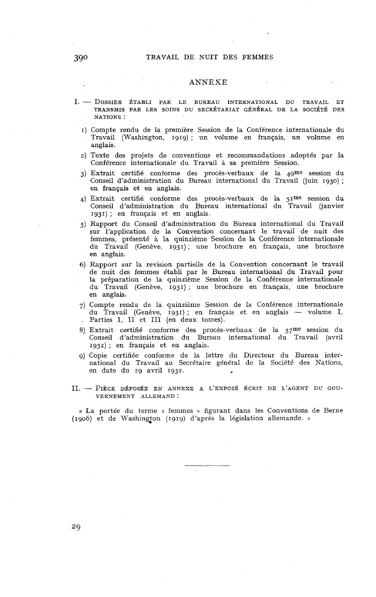## **3g0** TRAVAIL DE NUIT DES FEMMES

## ANNEXE

- **1.**  DOSSIER ÉTABLI PAR LE BUREAU INTERNATIONAL DU TRAVAIL ET TRANSMIS PAR LES SOINS DU SECRÉTARIAT GÉNÉRAL DE LA SOCIÉTÉ DES NATIONS :
	- 1) Compte rendu de la première Session de la Conférence internationale du Travail (Washington, 1919) ; un volume en français, un volume en anglais.
	- 2) Texte des projets de conventions et recommandations adoptés par la Conférence internationale du Travail à sa première Session.
	- 3) Extrait certifié conforme des procès-verbaux de la 4gme session du Conseil d'administration du Bureau international du Travail (juin 1930) ; en français et en anglais.
	- 4) Extrait certifié conforme des procès-verbaux de la 51me session du Conseil d'administration du Bureau international du Travail (janvier 1931) ; en français et en anglais.
	- 5) Rapport du Conseil d'administration du Bureau international du Travail sur l'application de la Convention concernant le travail de nuit des femmes, présenté à la quinzième Session de la Conférence internationale du Travail (Genève, 1931); une brochure en français, une brochure en anglais.
	- 6) Rapport sur la revision partielle de la Convention concernant le travail de nuit des femmes établi par le Bureau international du Travail pour la préparation de la quinzième Session de la Conférence internationale du Travail (Genève, 1931) ; une brochure en français, une brochure en anglais.
	- 7) Compte rendu de la quinzième Session de la Conférence internationale en anglais.<br>Compte rendu de la quinzième Session de la Conférence internationale<br>du Travail (Genève, 1931) ; en français et en anglais — volume I,<br>Portion I, III (en douve tomes) du Travail (Genève, 1931); en français et en anglais — volume I, Parties I, II et III (en deux tomes).
	- 8) Extrait certifié conforme des procès-verbaux de la 57me session du Conseil d'administration du Bureau international du Travail (avril 1932) ; en français et en anglais.
	- 9) Copie certifiée conforme de la lettre du Directeur du Bureau international du Travail au Secrétaire général de la Société des Nations, en date du 29 avril 1932.
- II. PIÈCE DÉPOSÉE EN ANNEXE A L'EXPOSÉ ÉCRIT DE L'AGENT DU GOU-VERNEMENT ALLEMAND :

« La portée du terme **a** femmes **i>** figurant dans les Conventions de Berne (1906) et de Washington (1919) d'après la législation allemande. »